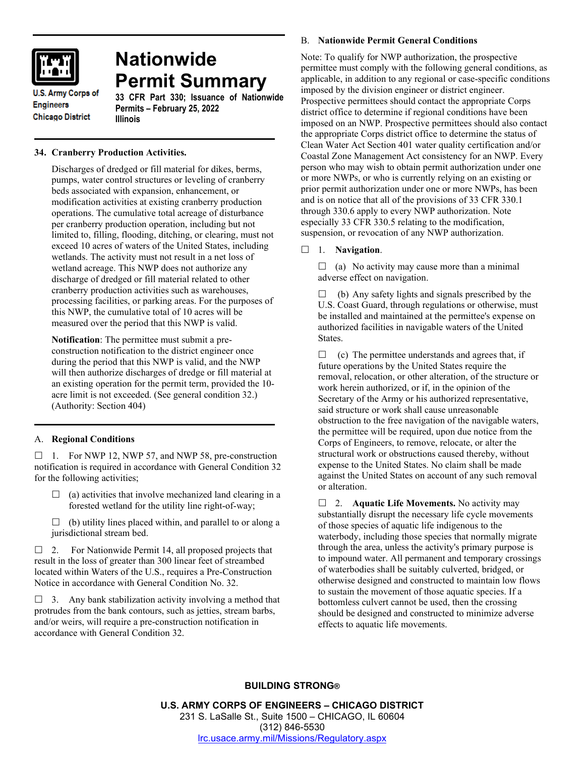

# **Nationwide Permit Summary**

**U.S. Army Corps of Engineers Chicago District** 

#### **33 CFR Part 330; Issuance of Nationwide Permits – February 25, 2022 Illinois**

## **34. Cranberry Production Activities.**

Discharges of dredged or fill material for dikes, berms, pumps, water control structures or leveling of cranberry beds associated with expansion, enhancement, or modification activities at existing cranberry production operations. The cumulative total acreage of disturbance per cranberry production operation, including but not limited to, filling, flooding, ditching, or clearing, must not exceed 10 acres of waters of the United States, including wetlands. The activity must not result in a net loss of wetland acreage. This NWP does not authorize any discharge of dredged or fill material related to other cranberry production activities such as warehouses, processing facilities, or parking areas. For the purposes of this NWP, the cumulative total of 10 acres will be measured over the period that this NWP is valid.

**Notification**: The permittee must submit a preconstruction notification to the district engineer once during the period that this NWP is valid, and the NWP will then authorize discharges of dredge or fill material at an existing operation for the permit term, provided the 10 acre limit is not exceeded. (See general condition 32.) (Authority: Section 404)

# A. **Regional Conditions**

 $\Box$  1. For NWP 12, NWP 57, and NWP 58, pre-construction notification is required in accordance with General Condition 32 for the following activities;

- $\Box$  (a) activities that involve mechanized land clearing in a forested wetland for the utility line right-of-way;
- $\Box$  (b) utility lines placed within, and parallel to or along a jurisdictional stream bed.

 $\Box$  2. For Nationwide Permit 14, all proposed projects that result in the loss of greater than 300 linear feet of streambed located within Waters of the U.S., requires a Pre-Construction Notice in accordance with General Condition No. 32.

 $\Box$  3. Any bank stabilization activity involving a method that protrudes from the bank contours, such as jetties, stream barbs, and/or weirs, will require a pre-construction notification in accordance with General Condition 32.

## B. **Nationwide Permit General Conditions**

Note: To qualify for NWP authorization, the prospective permittee must comply with the following general conditions, as applicable, in addition to any regional or case-specific conditions imposed by the division engineer or district engineer. Prospective permittees should contact the appropriate Corps district office to determine if regional conditions have been imposed on an NWP. Prospective permittees should also contact the appropriate Corps district office to determine the status of Clean Water Act Section 401 water quality certification and/or Coastal Zone Management Act consistency for an NWP. Every person who may wish to obtain permit authorization under one or more NWPs, or who is currently relying on an existing or prior permit authorization under one or more NWPs, has been and is on notice that all of the provisions of 33 CFR 330.1 through 330.6 apply to every NWP authorization. Note especially 33 CFR 330.5 relating to the modification, suspension, or revocation of any NWP authorization.

## 1. **Navigation**.

 $\Box$  (a) No activity may cause more than a minimal adverse effect on navigation.

 $\Box$  (b) Any safety lights and signals prescribed by the U.S. Coast Guard, through regulations or otherwise, must be installed and maintained at the permittee's expense on authorized facilities in navigable waters of the United States.

 $\Box$  (c) The permittee understands and agrees that, if future operations by the United States require the removal, relocation, or other alteration, of the structure or work herein authorized, or if, in the opinion of the Secretary of the Army or his authorized representative, said structure or work shall cause unreasonable obstruction to the free navigation of the navigable waters, the permittee will be required, upon due notice from the Corps of Engineers, to remove, relocate, or alter the structural work or obstructions caused thereby, without expense to the United States. No claim shall be made against the United States on account of any such removal or alteration.

□ 2. **Aquatic Life Movements.** No activity may substantially disrupt the necessary life cycle movements of those species of aquatic life indigenous to the waterbody, including those species that normally migrate through the area, unless the activity's primary purpose is to impound water. All permanent and temporary crossings of waterbodies shall be suitably culverted, bridged, or otherwise designed and constructed to maintain low flows to sustain the movement of those aquatic species. If a bottomless culvert cannot be used, then the crossing should be designed and constructed to minimize adverse effects to aquatic life movements.

## **BUILDING STRONG®**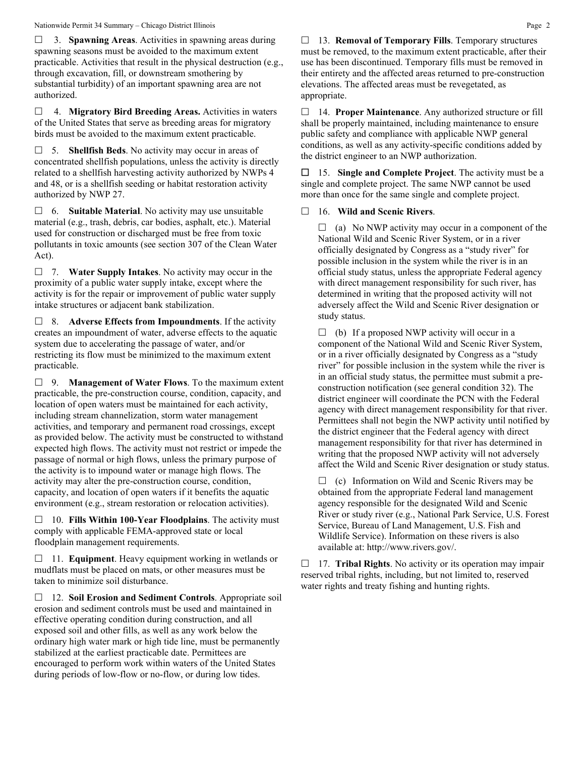#### Nationwide Permit 34 Summary – Chicago District Illinois Page 2

 3. **Spawning Areas**. Activities in spawning areas during spawning seasons must be avoided to the maximum extent practicable. Activities that result in the physical destruction (e.g., through excavation, fill, or downstream smothering by substantial turbidity) of an important spawning area are not authorized.

 4. **Migratory Bird Breeding Areas.** Activities in waters of the United States that serve as breeding areas for migratory birds must be avoided to the maximum extent practicable.

 5. **Shellfish Beds**. No activity may occur in areas of concentrated shellfish populations, unless the activity is directly related to a shellfish harvesting activity authorized by NWPs 4 and 48, or is a shellfish seeding or habitat restoration activity authorized by NWP 27.

 6. **Suitable Material**. No activity may use unsuitable material (e.g., trash, debris, car bodies, asphalt, etc.). Material used for construction or discharged must be free from toxic pollutants in toxic amounts (see section 307 of the Clean Water Act).

 7. **Water Supply Intakes**. No activity may occur in the proximity of a public water supply intake, except where the activity is for the repair or improvement of public water supply intake structures or adjacent bank stabilization.

 8. **Adverse Effects from Impoundments**. If the activity creates an impoundment of water, adverse effects to the aquatic system due to accelerating the passage of water, and/or restricting its flow must be minimized to the maximum extent practicable.

 9. **Management of Water Flows**. To the maximum extent practicable, the pre-construction course, condition, capacity, and location of open waters must be maintained for each activity, including stream channelization, storm water management activities, and temporary and permanent road crossings, except as provided below. The activity must be constructed to withstand expected high flows. The activity must not restrict or impede the passage of normal or high flows, unless the primary purpose of the activity is to impound water or manage high flows. The activity may alter the pre-construction course, condition, capacity, and location of open waters if it benefits the aquatic environment (e.g., stream restoration or relocation activities).

 10. **Fills Within 100-Year Floodplains**. The activity must comply with applicable FEMA-approved state or local floodplain management requirements.

□ 11. **Equipment**. Heavy equipment working in wetlands or mudflats must be placed on mats, or other measures must be taken to minimize soil disturbance.

 12. **Soil Erosion and Sediment Controls**. Appropriate soil erosion and sediment controls must be used and maintained in effective operating condition during construction, and all exposed soil and other fills, as well as any work below the ordinary high water mark or high tide line, must be permanently stabilized at the earliest practicable date. Permittees are encouraged to perform work within waters of the United States during periods of low-flow or no-flow, or during low tides.

 13. **Removal of Temporary Fills**. Temporary structures must be removed, to the maximum extent practicable, after their use has been discontinued. Temporary fills must be removed in their entirety and the affected areas returned to pre-construction elevations. The affected areas must be revegetated, as appropriate.

 14. **Proper Maintenance**. Any authorized structure or fill shall be properly maintained, including maintenance to ensure public safety and compliance with applicable NWP general conditions, as well as any activity-specific conditions added by the district engineer to an NWP authorization.

 15. **Single and Complete Project**. The activity must be a single and complete project. The same NWP cannot be used more than once for the same single and complete project.

## 16. **Wild and Scenic Rivers**.

 $\Box$  (a) No NWP activity may occur in a component of the National Wild and Scenic River System, or in a river officially designated by Congress as a "study river" for possible inclusion in the system while the river is in an official study status, unless the appropriate Federal agency with direct management responsibility for such river, has determined in writing that the proposed activity will not adversely affect the Wild and Scenic River designation or study status.

 $\Box$  (b) If a proposed NWP activity will occur in a component of the National Wild and Scenic River System, or in a river officially designated by Congress as a "study river" for possible inclusion in the system while the river is in an official study status, the permittee must submit a preconstruction notification (see general condition 32). The district engineer will coordinate the PCN with the Federal agency with direct management responsibility for that river. Permittees shall not begin the NWP activity until notified by the district engineer that the Federal agency with direct management responsibility for that river has determined in writing that the proposed NWP activity will not adversely affect the Wild and Scenic River designation or study status.

 $\Box$  (c) Information on Wild and Scenic Rivers may be obtained from the appropriate Federal land management agency responsible for the designated Wild and Scenic River or study river (e.g., National Park Service, U.S. Forest Service, Bureau of Land Management, U.S. Fish and Wildlife Service). Information on these rivers is also available at: http://www.rivers.gov/.

 17. **Tribal Rights**. No activity or its operation may impair reserved tribal rights, including, but not limited to, reserved water rights and treaty fishing and hunting rights.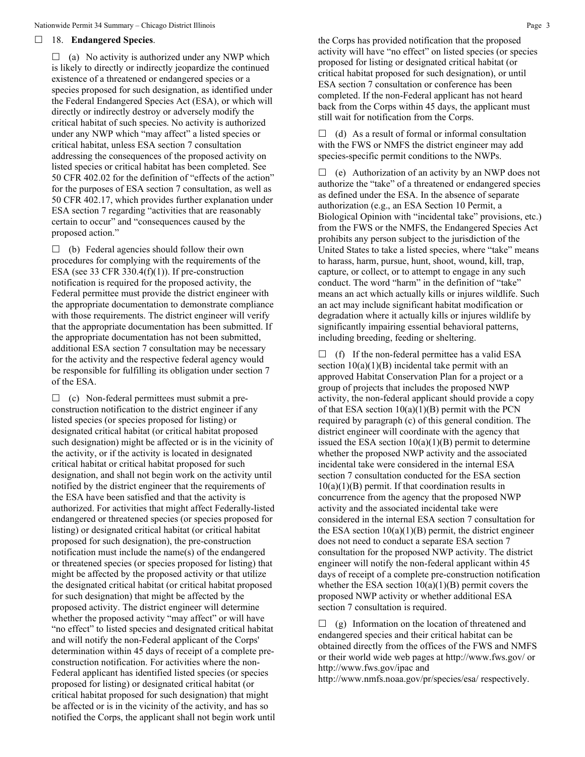#### 18. **Endangered Species**.

 $\Box$  (a) No activity is authorized under any NWP which is likely to directly or indirectly jeopardize the continued existence of a threatened or endangered species or a species proposed for such designation, as identified under the Federal Endangered Species Act (ESA), or which will directly or indirectly destroy or adversely modify the critical habitat of such species. No activity is authorized under any NWP which "may affect" a listed species or critical habitat, unless ESA section 7 consultation addressing the consequences of the proposed activity on listed species or critical habitat has been completed. See 50 CFR 402.02 for the definition of "effects of the action" for the purposes of ESA section 7 consultation, as well as 50 CFR 402.17, which provides further explanation under ESA section 7 regarding "activities that are reasonably certain to occur" and "consequences caused by the proposed action."

 $\Box$  (b) Federal agencies should follow their own procedures for complying with the requirements of the ESA (see 33 CFR 330.4 $(f)(1)$ ). If pre-construction notification is required for the proposed activity, the Federal permittee must provide the district engineer with the appropriate documentation to demonstrate compliance with those requirements. The district engineer will verify that the appropriate documentation has been submitted. If the appropriate documentation has not been submitted, additional ESA section 7 consultation may be necessary for the activity and the respective federal agency would be responsible for fulfilling its obligation under section 7 of the ESA.

 $\Box$  (c) Non-federal permittees must submit a preconstruction notification to the district engineer if any listed species (or species proposed for listing) or designated critical habitat (or critical habitat proposed such designation) might be affected or is in the vicinity of the activity, or if the activity is located in designated critical habitat or critical habitat proposed for such designation, and shall not begin work on the activity until notified by the district engineer that the requirements of the ESA have been satisfied and that the activity is authorized. For activities that might affect Federally-listed endangered or threatened species (or species proposed for listing) or designated critical habitat (or critical habitat proposed for such designation), the pre-construction notification must include the name(s) of the endangered or threatened species (or species proposed for listing) that might be affected by the proposed activity or that utilize the designated critical habitat (or critical habitat proposed for such designation) that might be affected by the proposed activity. The district engineer will determine whether the proposed activity "may affect" or will have "no effect" to listed species and designated critical habitat and will notify the non-Federal applicant of the Corps' determination within 45 days of receipt of a complete preconstruction notification. For activities where the non-Federal applicant has identified listed species (or species proposed for listing) or designated critical habitat (or critical habitat proposed for such designation) that might be affected or is in the vicinity of the activity, and has so notified the Corps, the applicant shall not begin work until the Corps has provided notification that the proposed activity will have "no effect" on listed species (or species proposed for listing or designated critical habitat (or critical habitat proposed for such designation), or until ESA section 7 consultation or conference has been completed. If the non-Federal applicant has not heard back from the Corps within 45 days, the applicant must still wait for notification from the Corps.

 $\Box$  (d) As a result of formal or informal consultation with the FWS or NMFS the district engineer may add species-specific permit conditions to the NWPs.

 $\Box$  (e) Authorization of an activity by an NWP does not authorize the "take" of a threatened or endangered species as defined under the ESA. In the absence of separate authorization (e.g., an ESA Section 10 Permit, a Biological Opinion with "incidental take" provisions, etc.) from the FWS or the NMFS, the Endangered Species Act prohibits any person subject to the jurisdiction of the United States to take a listed species, where "take" means to harass, harm, pursue, hunt, shoot, wound, kill, trap, capture, or collect, or to attempt to engage in any such conduct. The word "harm" in the definition of "take" means an act which actually kills or injures wildlife. Such an act may include significant habitat modification or degradation where it actually kills or injures wildlife by significantly impairing essential behavioral patterns, including breeding, feeding or sheltering.

 $\Box$  (f) If the non-federal permittee has a valid ESA section  $10(a)(1)(B)$  incidental take permit with an approved Habitat Conservation Plan for a project or a group of projects that includes the proposed NWP activity, the non-federal applicant should provide a copy of that ESA section  $10(a)(1)(B)$  permit with the PCN required by paragraph (c) of this general condition. The district engineer will coordinate with the agency that issued the ESA section  $10(a)(1)(B)$  permit to determine whether the proposed NWP activity and the associated incidental take were considered in the internal ESA section 7 consultation conducted for the ESA section  $10(a)(1)(B)$  permit. If that coordination results in concurrence from the agency that the proposed NWP activity and the associated incidental take were considered in the internal ESA section 7 consultation for the ESA section  $10(a)(1)(B)$  permit, the district engineer does not need to conduct a separate ESA section 7 consultation for the proposed NWP activity. The district engineer will notify the non-federal applicant within 45 days of receipt of a complete pre-construction notification whether the ESA section  $10(a)(1)(B)$  permit covers the proposed NWP activity or whether additional ESA section 7 consultation is required.

 $\Box$  (g) Information on the location of threatened and endangered species and their critical habitat can be obtained directly from the offices of the FWS and NMFS or their world wide web pages at http://www.fws.gov/ or http://www.fws.gov/ipac and

http://www.nmfs.noaa.gov/pr/species/esa/ respectively.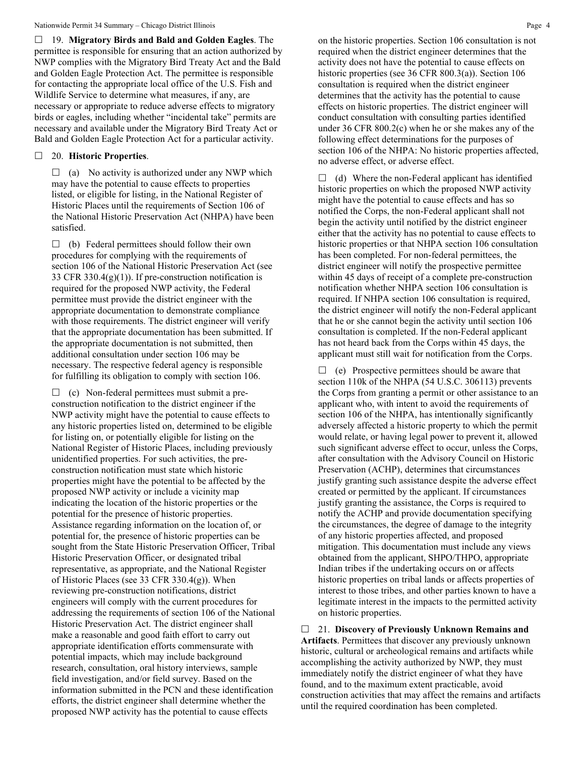19. **Migratory Birds and Bald and Golden Eagles**. The permittee is responsible for ensuring that an action authorized by NWP complies with the Migratory Bird Treaty Act and the Bald and Golden Eagle Protection Act. The permittee is responsible for contacting the appropriate local office of the U.S. Fish and Wildlife Service to determine what measures, if any, are necessary or appropriate to reduce adverse effects to migratory birds or eagles, including whether "incidental take" permits are necessary and available under the Migratory Bird Treaty Act or Bald and Golden Eagle Protection Act for a particular activity.

#### 20. **Historic Properties**.

 $\Box$  (a) No activity is authorized under any NWP which may have the potential to cause effects to properties listed, or eligible for listing, in the National Register of Historic Places until the requirements of Section 106 of the National Historic Preservation Act (NHPA) have been satisfied.

 $\Box$  (b) Federal permittees should follow their own procedures for complying with the requirements of section 106 of the National Historic Preservation Act (see 33 CFR 330.4 $(g)(1)$ ). If pre-construction notification is required for the proposed NWP activity, the Federal permittee must provide the district engineer with the appropriate documentation to demonstrate compliance with those requirements. The district engineer will verify that the appropriate documentation has been submitted. If the appropriate documentation is not submitted, then additional consultation under section 106 may be necessary. The respective federal agency is responsible for fulfilling its obligation to comply with section 106.

 $\Box$  (c) Non-federal permittees must submit a preconstruction notification to the district engineer if the NWP activity might have the potential to cause effects to any historic properties listed on, determined to be eligible for listing on, or potentially eligible for listing on the National Register of Historic Places, including previously unidentified properties. For such activities, the preconstruction notification must state which historic properties might have the potential to be affected by the proposed NWP activity or include a vicinity map indicating the location of the historic properties or the potential for the presence of historic properties. Assistance regarding information on the location of, or potential for, the presence of historic properties can be sought from the State Historic Preservation Officer, Tribal Historic Preservation Officer, or designated tribal representative, as appropriate, and the National Register of Historic Places (see 33 CFR  $330.4(g)$ ). When reviewing pre-construction notifications, district engineers will comply with the current procedures for addressing the requirements of section 106 of the National Historic Preservation Act. The district engineer shall make a reasonable and good faith effort to carry out appropriate identification efforts commensurate with potential impacts, which may include background research, consultation, oral history interviews, sample field investigation, and/or field survey. Based on the information submitted in the PCN and these identification efforts, the district engineer shall determine whether the proposed NWP activity has the potential to cause effects

on the historic properties. Section 106 consultation is not required when the district engineer determines that the activity does not have the potential to cause effects on historic properties (see 36 CFR 800.3(a)). Section 106 consultation is required when the district engineer determines that the activity has the potential to cause effects on historic properties. The district engineer will conduct consultation with consulting parties identified under 36 CFR 800.2(c) when he or she makes any of the following effect determinations for the purposes of section 106 of the NHPA: No historic properties affected, no adverse effect, or adverse effect.

 $\Box$  (d) Where the non-Federal applicant has identified historic properties on which the proposed NWP activity might have the potential to cause effects and has so notified the Corps, the non-Federal applicant shall not begin the activity until notified by the district engineer either that the activity has no potential to cause effects to historic properties or that NHPA section 106 consultation has been completed. For non-federal permittees, the district engineer will notify the prospective permittee within 45 days of receipt of a complete pre-construction notification whether NHPA section 106 consultation is required. If NHPA section 106 consultation is required, the district engineer will notify the non-Federal applicant that he or she cannot begin the activity until section 106 consultation is completed. If the non-Federal applicant has not heard back from the Corps within 45 days, the applicant must still wait for notification from the Corps.

 $\Box$  (e) Prospective permittees should be aware that section 110k of the NHPA (54 U.S.C. 306113) prevents the Corps from granting a permit or other assistance to an applicant who, with intent to avoid the requirements of section 106 of the NHPA, has intentionally significantly adversely affected a historic property to which the permit would relate, or having legal power to prevent it, allowed such significant adverse effect to occur, unless the Corps, after consultation with the Advisory Council on Historic Preservation (ACHP), determines that circumstances justify granting such assistance despite the adverse effect created or permitted by the applicant. If circumstances justify granting the assistance, the Corps is required to notify the ACHP and provide documentation specifying the circumstances, the degree of damage to the integrity of any historic properties affected, and proposed mitigation. This documentation must include any views obtained from the applicant, SHPO/THPO, appropriate Indian tribes if the undertaking occurs on or affects historic properties on tribal lands or affects properties of interest to those tribes, and other parties known to have a legitimate interest in the impacts to the permitted activity on historic properties.

 21. **Discovery of Previously Unknown Remains and Artifacts**. Permittees that discover any previously unknown historic, cultural or archeological remains and artifacts while accomplishing the activity authorized by NWP, they must immediately notify the district engineer of what they have found, and to the maximum extent practicable, avoid construction activities that may affect the remains and artifacts until the required coordination has been completed.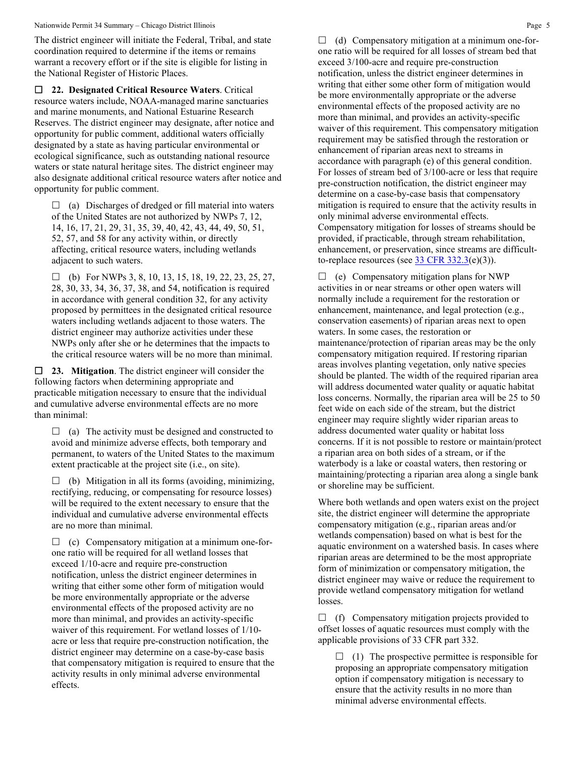Nationwide Permit 34 Summary – Chicago District Illinois **Page 5 Page 5** 

The district engineer will initiate the Federal, Tribal, and state coordination required to determine if the items or remains warrant a recovery effort or if the site is eligible for listing in the National Register of Historic Places.

 **22. Designated Critical Resource Waters**. Critical resource waters include, NOAA-managed marine sanctuaries and marine monuments, and National Estuarine Research Reserves. The district engineer may designate, after notice and opportunity for public comment, additional waters officially designated by a state as having particular environmental or ecological significance, such as outstanding national resource waters or state natural heritage sites. The district engineer may also designate additional critical resource waters after notice and opportunity for public comment.

 $\Box$  (a) Discharges of dredged or fill material into waters of the United States are not authorized by NWPs 7, 12, 14, 16, 17, 21, 29, 31, 35, 39, 40, 42, 43, 44, 49, 50, 51, 52, 57, and 58 for any activity within, or directly affecting, critical resource waters, including wetlands adjacent to such waters.

 $\Box$  (b) For NWPs 3, 8, 10, 13, 15, 18, 19, 22, 23, 25, 27, 28, 30, 33, 34, 36, 37, 38, and 54, notification is required in accordance with general condition 32, for any activity proposed by permittees in the designated critical resource waters including wetlands adjacent to those waters. The district engineer may authorize activities under these NWPs only after she or he determines that the impacts to the critical resource waters will be no more than minimal.

 **23. Mitigation**. The district engineer will consider the following factors when determining appropriate and practicable mitigation necessary to ensure that the individual and cumulative adverse environmental effects are no more than minimal:

 $\Box$  (a) The activity must be designed and constructed to avoid and minimize adverse effects, both temporary and permanent, to waters of the United States to the maximum extent practicable at the project site (i.e., on site).

 $\Box$  (b) Mitigation in all its forms (avoiding, minimizing, rectifying, reducing, or compensating for resource losses) will be required to the extent necessary to ensure that the individual and cumulative adverse environmental effects are no more than minimal.

 $\Box$  (c) Compensatory mitigation at a minimum one-forone ratio will be required for all wetland losses that exceed 1/10-acre and require pre-construction notification, unless the district engineer determines in writing that either some other form of mitigation would be more environmentally appropriate or the adverse environmental effects of the proposed activity are no more than minimal, and provides an activity-specific waiver of this requirement. For wetland losses of 1/10 acre or less that require pre-construction notification, the district engineer may determine on a case-by-case basis that compensatory mitigation is required to ensure that the activity results in only minimal adverse environmental effects.

 $\Box$  (d) Compensatory mitigation at a minimum one-forone ratio will be required for all losses of stream bed that exceed 3/100-acre and require pre-construction notification, unless the district engineer determines in writing that either some other form of mitigation would be more environmentally appropriate or the adverse environmental effects of the proposed activity are no more than minimal, and provides an activity-specific waiver of this requirement. This compensatory mitigation requirement may be satisfied through the restoration or enhancement of riparian areas next to streams in accordance with paragraph (e) of this general condition. For losses of stream bed of 3/100-acre or less that require pre-construction notification, the district engineer may determine on a case-by-case basis that compensatory mitigation is required to ensure that the activity results in only minimal adverse environmental effects. Compensatory mitigation for losses of streams should be provided, if practicable, through stream rehabilitation, enhancement, or preservation, since streams are difficultto-replace resources (see  $33 \text{ CFR } 332.3(e)(3)$ ).

 $\Box$  (e) Compensatory mitigation plans for NWP activities in or near streams or other open waters will normally include a requirement for the restoration or enhancement, maintenance, and legal protection (e.g., conservation easements) of riparian areas next to open waters. In some cases, the restoration or maintenance/protection of riparian areas may be the only compensatory mitigation required. If restoring riparian areas involves planting vegetation, only native species should be planted. The width of the required riparian area will address documented water quality or aquatic habitat loss concerns. Normally, the riparian area will be 25 to 50 feet wide on each side of the stream, but the district engineer may require slightly wider riparian areas to address documented water quality or habitat loss concerns. If it is not possible to restore or maintain/protect a riparian area on both sides of a stream, or if the waterbody is a lake or coastal waters, then restoring or maintaining/protecting a riparian area along a single bank or shoreline may be sufficient.

Where both wetlands and open waters exist on the project site, the district engineer will determine the appropriate compensatory mitigation (e.g., riparian areas and/or wetlands compensation) based on what is best for the aquatic environment on a watershed basis. In cases where riparian areas are determined to be the most appropriate form of minimization or compensatory mitigation, the district engineer may waive or reduce the requirement to provide wetland compensatory mitigation for wetland losses.

 $\Box$  (f) Compensatory mitigation projects provided to offset losses of aquatic resources must comply with the applicable provisions of 33 CFR part 332.

 $\Box$  (1) The prospective permittee is responsible for proposing an appropriate compensatory mitigation option if compensatory mitigation is necessary to ensure that the activity results in no more than minimal adverse environmental effects.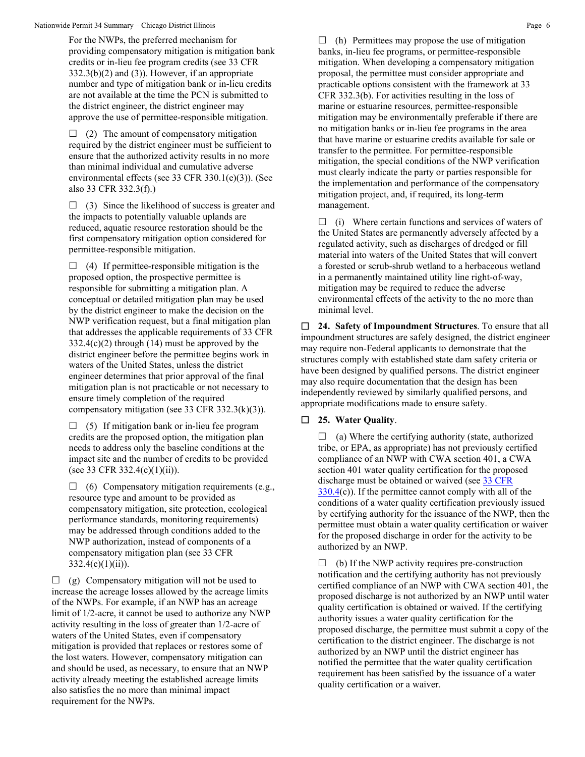For the NWPs, the preferred mechanism for providing compensatory mitigation is mitigation bank credits or in-lieu fee program credits (see 33 CFR  $332.3(b)(2)$  and  $(3)$ ). However, if an appropriate number and type of mitigation bank or in-lieu credits are not available at the time the PCN is submitted to the district engineer, the district engineer may approve the use of permittee-responsible mitigation.

 $\Box$  (2) The amount of compensatory mitigation required by the district engineer must be sufficient to ensure that the authorized activity results in no more than minimal individual and cumulative adverse environmental effects (see 33 CFR 330.1(e)(3)). (See also 33 CFR 332.3(f).)

 $\Box$  (3) Since the likelihood of success is greater and the impacts to potentially valuable uplands are reduced, aquatic resource restoration should be the first compensatory mitigation option considered for permittee-responsible mitigation.

 $\Box$  (4) If permittee-responsible mitigation is the proposed option, the prospective permittee is responsible for submitting a mitigation plan. A conceptual or detailed mitigation plan may be used by the district engineer to make the decision on the NWP verification request, but a final mitigation plan that addresses the applicable requirements of 33 CFR 332.4(c)(2) through (14) must be approved by the district engineer before the permittee begins work in waters of the United States, unless the district engineer determines that prior approval of the final mitigation plan is not practicable or not necessary to ensure timely completion of the required compensatory mitigation (see 33 CFR 332.3(k)(3)).

 $\Box$  (5) If mitigation bank or in-lieu fee program credits are the proposed option, the mitigation plan needs to address only the baseline conditions at the impact site and the number of credits to be provided (see 33 CFR 332.4(c)(1)(ii)).

 $\Box$  (6) Compensatory mitigation requirements (e.g., resource type and amount to be provided as compensatory mitigation, site protection, ecological performance standards, monitoring requirements) may be addressed through conditions added to the NWP authorization, instead of components of a compensatory mitigation plan (see 33 CFR  $332.4(c)(1)(ii)$ .

 $\Box$  (g) Compensatory mitigation will not be used to increase the acreage losses allowed by the acreage limits of the NWPs. For example, if an NWP has an acreage limit of 1/2-acre, it cannot be used to authorize any NWP activity resulting in the loss of greater than 1/2-acre of waters of the United States, even if compensatory mitigation is provided that replaces or restores some of the lost waters. However, compensatory mitigation can and should be used, as necessary, to ensure that an NWP activity already meeting the established acreage limits also satisfies the no more than minimal impact requirement for the NWPs.

 $\Box$  (h) Permittees may propose the use of mitigation banks, in-lieu fee programs, or permittee-responsible mitigation. When developing a compensatory mitigation proposal, the permittee must consider appropriate and practicable options consistent with the framework at 33 CFR 332.3(b). For activities resulting in the loss of marine or estuarine resources, permittee-responsible mitigation may be environmentally preferable if there are no mitigation banks or in-lieu fee programs in the area that have marine or estuarine credits available for sale or transfer to the permittee. For permittee-responsible mitigation, the special conditions of the NWP verification must clearly indicate the party or parties responsible for the implementation and performance of the compensatory mitigation project, and, if required, its long-term management.

 $\Box$  (i) Where certain functions and services of waters of the United States are permanently adversely affected by a regulated activity, such as discharges of dredged or fill material into waters of the United States that will convert a forested or scrub-shrub wetland to a herbaceous wetland in a permanently maintained utility line right-of-way, mitigation may be required to reduce the adverse environmental effects of the activity to the no more than minimal level.

 **24. Safety of Impoundment Structures**. To ensure that all impoundment structures are safely designed, the district engineer may require non-Federal applicants to demonstrate that the structures comply with established state dam safety criteria or have been designed by qualified persons. The district engineer may also require documentation that the design has been independently reviewed by similarly qualified persons, and appropriate modifications made to ensure safety.

# **25. Water Quality**.

 $\Box$  (a) Where the certifying authority (state, authorized tribe, or EPA, as appropriate) has not previously certified compliance of an NWP with CWA section 401, a CWA section 401 water quality certification for the proposed discharge must be obtained or waived (see [33 CFR](https://www.federalregister.gov/select-citation/2021/01/13/33-CFR-330.4) [330.4\(](https://www.federalregister.gov/select-citation/2021/01/13/33-CFR-330.4)c)). If the permittee cannot comply with all of the conditions of a water quality certification previously issued by certifying authority for the issuance of the NWP, then the permittee must obtain a water quality certification or waiver for the proposed discharge in order for the activity to be authorized by an NWP.

 $\Box$  (b) If the NWP activity requires pre-construction notification and the certifying authority has not previously certified compliance of an NWP with CWA section 401, the proposed discharge is not authorized by an NWP until water quality certification is obtained or waived. If the certifying authority issues a water quality certification for the proposed discharge, the permittee must submit a copy of the certification to the district engineer. The discharge is not authorized by an NWP until the district engineer has notified the permittee that the water quality certification requirement has been satisfied by the issuance of a water quality certification or a waiver.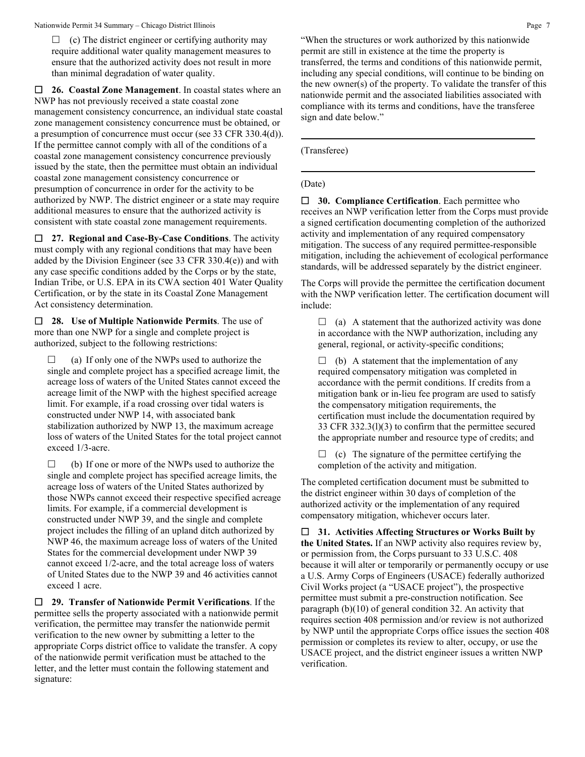$\Box$  (c) The district engineer or certifying authority may require additional water quality management measures to ensure that the authorized activity does not result in more than minimal degradation of water quality.

 **26. Coastal Zone Management**. In coastal states where an NWP has not previously received a state coastal zone management consistency concurrence, an individual state coastal zone management consistency concurrence must be obtained, or a presumption of concurrence must occur (see 33 CFR 330.4(d)). If the permittee cannot comply with all of the conditions of a coastal zone management consistency concurrence previously issued by the state, then the permittee must obtain an individual coastal zone management consistency concurrence or presumption of concurrence in order for the activity to be authorized by NWP. The district engineer or a state may require additional measures to ensure that the authorized activity is consistent with state coastal zone management requirements.

 **27. Regional and Case-By-Case Conditions**. The activity must comply with any regional conditions that may have been added by the Division Engineer (see 33 CFR 330.4(e)) and with any case specific conditions added by the Corps or by the state, Indian Tribe, or U.S. EPA in its CWA section 401 Water Quality Certification, or by the state in its Coastal Zone Management Act consistency determination.

 **28. Use of Multiple Nationwide Permits**. The use of more than one NWP for a single and complete project is authorized, subject to the following restrictions:

 $\Box$  (a) If only one of the NWPs used to authorize the single and complete project has a specified acreage limit, the acreage loss of waters of the United States cannot exceed the acreage limit of the NWP with the highest specified acreage limit. For example, if a road crossing over tidal waters is constructed under NWP 14, with associated bank stabilization authorized by NWP 13, the maximum acreage loss of waters of the United States for the total project cannot exceed 1/3-acre.

 $\Box$  (b) If one or more of the NWPs used to authorize the single and complete project has specified acreage limits, the acreage loss of waters of the United States authorized by those NWPs cannot exceed their respective specified acreage limits. For example, if a commercial development is constructed under NWP 39, and the single and complete project includes the filling of an upland ditch authorized by NWP 46, the maximum acreage loss of waters of the United States for the commercial development under NWP 39 cannot exceed 1/2-acre, and the total acreage loss of waters of United States due to the NWP 39 and 46 activities cannot exceed 1 acre.

 **29. Transfer of Nationwide Permit Verifications**. If the permittee sells the property associated with a nationwide permit verification, the permittee may transfer the nationwide permit verification to the new owner by submitting a letter to the appropriate Corps district office to validate the transfer. A copy of the nationwide permit verification must be attached to the letter, and the letter must contain the following statement and signature:

"When the structures or work authorized by this nationwide permit are still in existence at the time the property is transferred, the terms and conditions of this nationwide permit, including any special conditions, will continue to be binding on the new owner(s) of the property. To validate the transfer of this nationwide permit and the associated liabilities associated with compliance with its terms and conditions, have the transferee sign and date below."

(Transferee)

## (Date)

 **30. Compliance Certification**. Each permittee who receives an NWP verification letter from the Corps must provide a signed certification documenting completion of the authorized activity and implementation of any required compensatory mitigation. The success of any required permittee-responsible mitigation, including the achievement of ecological performance standards, will be addressed separately by the district engineer.

The Corps will provide the permittee the certification document with the NWP verification letter. The certification document will include:

 $\Box$  (a) A statement that the authorized activity was done in accordance with the NWP authorization, including any general, regional, or activity-specific conditions;

 $\Box$  (b) A statement that the implementation of any required compensatory mitigation was completed in accordance with the permit conditions. If credits from a mitigation bank or in-lieu fee program are used to satisfy the compensatory mitigation requirements, the certification must include the documentation required by 33 CFR 332.3(l)(3) to confirm that the permittee secured the appropriate number and resource type of credits; and

 $\Box$  (c) The signature of the permittee certifying the completion of the activity and mitigation.

The completed certification document must be submitted to the district engineer within 30 days of completion of the authorized activity or the implementation of any required compensatory mitigation, whichever occurs later.

 **31. Activities Affecting Structures or Works Built by the United States.** If an NWP activity also requires review by, or permission from, the Corps pursuant to 33 U.S.C. 408 because it will alter or temporarily or permanently occupy or use a U.S. Army Corps of Engineers (USACE) federally authorized Civil Works project (a "USACE project"), the prospective permittee must submit a pre-construction notification. See paragraph (b)(10) of general condition 32. An activity that requires section 408 permission and/or review is not authorized by NWP until the appropriate Corps office issues the section 408 permission or completes its review to alter, occupy, or use the USACE project, and the district engineer issues a written NWP verification.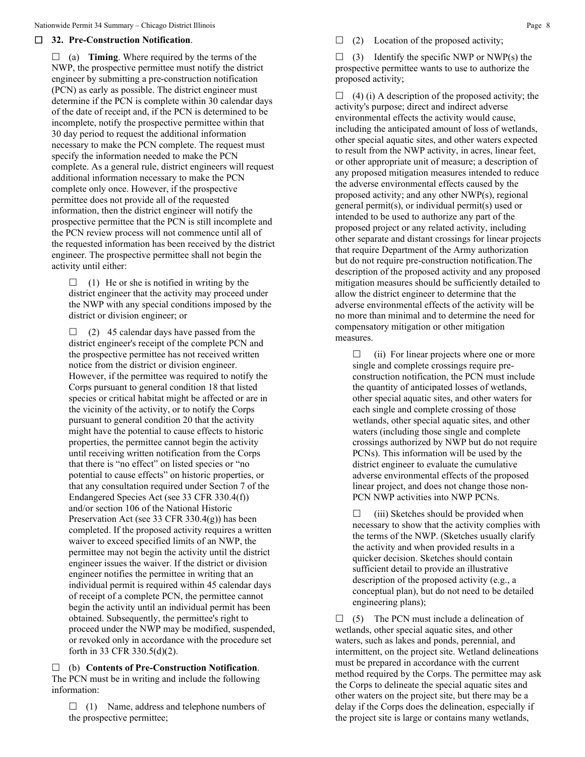## **32. Pre-Construction Notification**.

 $\Box$  (a) **Timing**. Where required by the terms of the NWP, the prospective permittee must notify the district engineer by submitting a pre-construction notification (PCN) as early as possible. The district engineer must determine if the PCN is complete within 30 calendar days of the date of receipt and, if the PCN is determined to be incomplete, notify the prospective permittee within that 30 day period to request the additional information necessary to make the PCN complete. The request must specify the information needed to make the PCN complete. As a general rule, district engineers will request additional information necessary to make the PCN complete only once. However, if the prospective permittee does not provide all of the requested information, then the district engineer will notify the prospective permittee that the PCN is still incomplete and the PCN review process will not commence until all of the requested information has been received by the district engineer. The prospective permittee shall not begin the activity until either:

 $\Box$  (1) He or she is notified in writing by the district engineer that the activity may proceed under the NWP with any special conditions imposed by the district or division engineer; or

 $\Box$  (2) 45 calendar days have passed from the district engineer's receipt of the complete PCN and the prospective permittee has not received written notice from the district or division engineer. However, if the permittee was required to notify the Corps pursuant to general condition 18 that listed species or critical habitat might be affected or are in the vicinity of the activity, or to notify the Corps pursuant to general condition 20 that the activity might have the potential to cause effects to historic properties, the permittee cannot begin the activity until receiving written notification from the Corps that there is "no effect" on listed species or "no potential to cause effects" on historic properties, or that any consultation required under Section 7 of the Endangered Species Act (see 33 CFR 330.4(f)) and/or section 106 of the National Historic Preservation Act (see 33 CFR 330.4(g)) has been completed. If the proposed activity requires a written waiver to exceed specified limits of an NWP, the permittee may not begin the activity until the district engineer issues the waiver. If the district or division engineer notifies the permittee in writing that an individual permit is required within 45 calendar days of receipt of a complete PCN, the permittee cannot begin the activity until an individual permit has been obtained. Subsequently, the permittee's right to proceed under the NWP may be modified, suspended, or revoked only in accordance with the procedure set forth in 33 CFR 330.5(d)(2).

 (b) **Contents of Pre-Construction Notification**. The PCN must be in writing and include the following information:

 $\Box$  (1) Name, address and telephone numbers of the prospective permittee;

 $\Box$  (2) Location of the proposed activity;

 $\Box$  (3) Identify the specific NWP or NWP(s) the prospective permittee wants to use to authorize the proposed activity;

 $\Box$  (4) (i) A description of the proposed activity; the activity's purpose; direct and indirect adverse environmental effects the activity would cause, including the anticipated amount of loss of wetlands, other special aquatic sites, and other waters expected to result from the NWP activity, in acres, linear feet, or other appropriate unit of measure; a description of any proposed mitigation measures intended to reduce the adverse environmental effects caused by the proposed activity; and any other NWP(s), regional general permit(s), or individual permit(s) used or intended to be used to authorize any part of the proposed project or any related activity, including other separate and distant crossings for linear projects that require Department of the Army authorization but do not require pre-construction notification.The description of the proposed activity and any proposed mitigation measures should be sufficiently detailed to allow the district engineer to determine that the adverse environmental effects of the activity will be no more than minimal and to determine the need for compensatory mitigation or other mitigation measures.

 $\Box$  (ii) For linear projects where one or more single and complete crossings require preconstruction notification, the PCN must include the quantity of anticipated losses of wetlands, other special aquatic sites, and other waters for each single and complete crossing of those wetlands, other special aquatic sites, and other waters (including those single and complete crossings authorized by NWP but do not require PCNs). This information will be used by the district engineer to evaluate the cumulative adverse environmental effects of the proposed linear project, and does not change those non-PCN NWP activities into NWP PCNs.

 $\Box$  (iii) Sketches should be provided when necessary to show that the activity complies with the terms of the NWP. (Sketches usually clarify the activity and when provided results in a quicker decision. Sketches should contain sufficient detail to provide an illustrative description of the proposed activity (e.g., a conceptual plan), but do not need to be detailed engineering plans);

 $\Box$  (5) The PCN must include a delineation of wetlands, other special aquatic sites, and other waters, such as lakes and ponds, perennial, and intermittent, on the project site. Wetland delineations must be prepared in accordance with the current method required by the Corps. The permittee may ask the Corps to delineate the special aquatic sites and other waters on the project site, but there may be a delay if the Corps does the delineation, especially if the project site is large or contains many wetlands,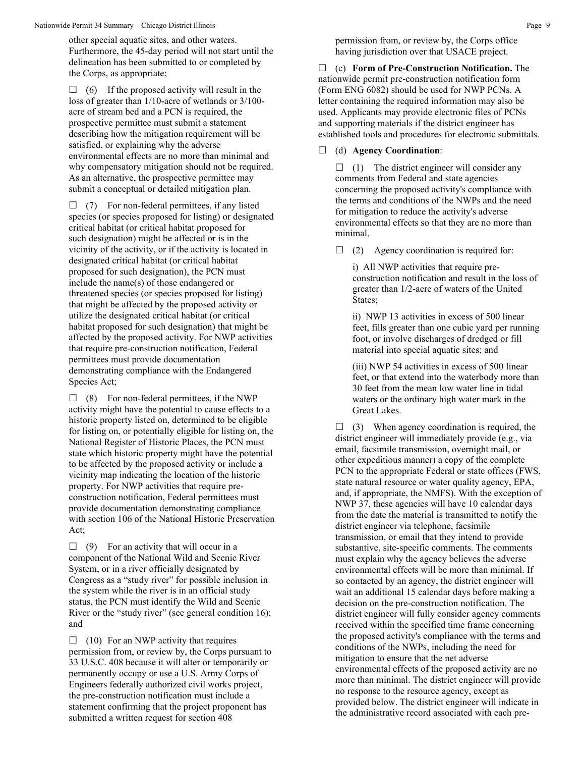other special aquatic sites, and other waters. Furthermore, the 45-day period will not start until the delineation has been submitted to or completed by the Corps, as appropriate;

 $\Box$  (6) If the proposed activity will result in the loss of greater than 1/10-acre of wetlands or 3/100 acre of stream bed and a PCN is required, the prospective permittee must submit a statement describing how the mitigation requirement will be satisfied, or explaining why the adverse environmental effects are no more than minimal and why compensatory mitigation should not be required. As an alternative, the prospective permittee may submit a conceptual or detailed mitigation plan.

 $\Box$  (7) For non-federal permittees, if any listed species (or species proposed for listing) or designated critical habitat (or critical habitat proposed for such designation) might be affected or is in the vicinity of the activity, or if the activity is located in designated critical habitat (or critical habitat proposed for such designation), the PCN must include the name(s) of those endangered or threatened species (or species proposed for listing) that might be affected by the proposed activity or utilize the designated critical habitat (or critical habitat proposed for such designation) that might be affected by the proposed activity. For NWP activities that require pre-construction notification, Federal permittees must provide documentation demonstrating compliance with the Endangered Species Act;

 $\Box$  (8) For non-federal permittees, if the NWP activity might have the potential to cause effects to a historic property listed on, determined to be eligible for listing on, or potentially eligible for listing on, the National Register of Historic Places, the PCN must state which historic property might have the potential to be affected by the proposed activity or include a vicinity map indicating the location of the historic property. For NWP activities that require preconstruction notification, Federal permittees must provide documentation demonstrating compliance with section 106 of the National Historic Preservation Act;

 $\Box$  (9) For an activity that will occur in a component of the National Wild and Scenic River System, or in a river officially designated by Congress as a "study river" for possible inclusion in the system while the river is in an official study status, the PCN must identify the Wild and Scenic River or the "study river" (see general condition 16); and

 $\Box$  (10) For an NWP activity that requires permission from, or review by, the Corps pursuant to 33 U.S.C. 408 because it will alter or temporarily or permanently occupy or use a U.S. Army Corps of Engineers federally authorized civil works project, the pre-construction notification must include a statement confirming that the project proponent has submitted a written request for section 408

permission from, or review by, the Corps office having jurisdiction over that USACE project.

 (c) **Form of Pre-Construction Notification.** The nationwide permit pre-construction notification form (Form ENG 6082) should be used for NWP PCNs. A letter containing the required information may also be used. Applicants may provide electronic files of PCNs and supporting materials if the district engineer has established tools and procedures for electronic submittals.

(d) **Agency Coordination**:

 $\Box$  (1) The district engineer will consider any comments from Federal and state agencies concerning the proposed activity's compliance with the terms and conditions of the NWPs and the need for mitigation to reduce the activity's adverse environmental effects so that they are no more than minimal.

 $\Box$  (2) Agency coordination is required for:

i) All NWP activities that require preconstruction notification and result in the loss of greater than 1/2-acre of waters of the United States;

ii) NWP 13 activities in excess of 500 linear feet, fills greater than one cubic yard per running foot, or involve discharges of dredged or fill material into special aquatic sites; and

(iii) NWP 54 activities in excess of 500 linear feet, or that extend into the waterbody more than 30 feet from the mean low water line in tidal waters or the ordinary high water mark in the Great Lakes.

 $\Box$  (3) When agency coordination is required, the district engineer will immediately provide (e.g., via email, facsimile transmission, overnight mail, or other expeditious manner) a copy of the complete PCN to the appropriate Federal or state offices (FWS, state natural resource or water quality agency, EPA, and, if appropriate, the NMFS). With the exception of NWP 37, these agencies will have 10 calendar days from the date the material is transmitted to notify the district engineer via telephone, facsimile transmission, or email that they intend to provide substantive, site-specific comments. The comments must explain why the agency believes the adverse environmental effects will be more than minimal. If so contacted by an agency, the district engineer will wait an additional 15 calendar days before making a decision on the pre-construction notification. The district engineer will fully consider agency comments received within the specified time frame concerning the proposed activity's compliance with the terms and conditions of the NWPs, including the need for mitigation to ensure that the net adverse environmental effects of the proposed activity are no more than minimal. The district engineer will provide no response to the resource agency, except as provided below. The district engineer will indicate in the administrative record associated with each pre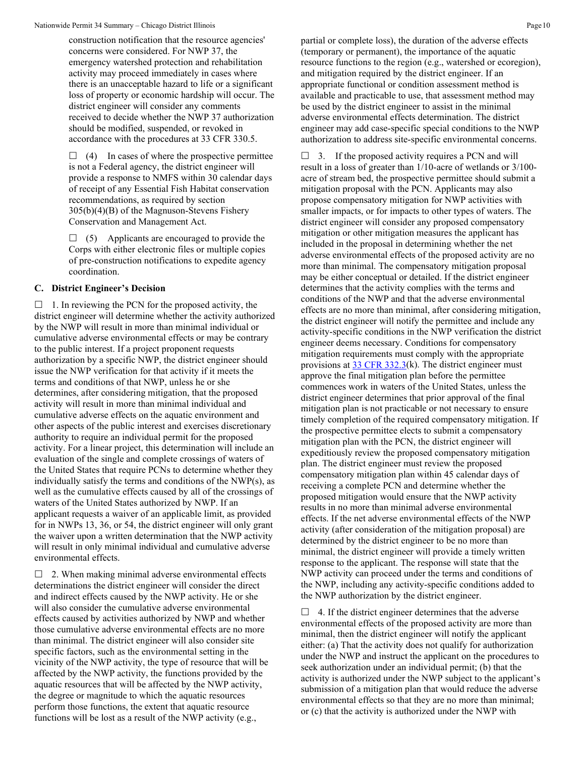construction notification that the resource agencies' concerns were considered. For NWP 37, the emergency watershed protection and rehabilitation activity may proceed immediately in cases where there is an unacceptable hazard to life or a significant loss of property or economic hardship will occur. The district engineer will consider any comments received to decide whether the NWP 37 authorization should be modified, suspended, or revoked in accordance with the procedures at 33 CFR 330.5.

 $\Box$  (4) In cases of where the prospective permittee is not a Federal agency, the district engineer will provide a response to NMFS within 30 calendar days of receipt of any Essential Fish Habitat conservation recommendations, as required by section 305(b)(4)(B) of the Magnuson-Stevens Fishery Conservation and Management Act.

 $\Box$  (5) Applicants are encouraged to provide the Corps with either electronic files or multiple copies of pre-construction notifications to expedite agency coordination.

### **C. District Engineer's Decision**

 $\Box$  1. In reviewing the PCN for the proposed activity, the district engineer will determine whether the activity authorized by the NWP will result in more than minimal individual or cumulative adverse environmental effects or may be contrary to the public interest. If a project proponent requests authorization by a specific NWP, the district engineer should issue the NWP verification for that activity if it meets the terms and conditions of that NWP, unless he or she determines, after considering mitigation, that the proposed activity will result in more than minimal individual and cumulative adverse effects on the aquatic environment and other aspects of the public interest and exercises discretionary authority to require an individual permit for the proposed activity. For a linear project, this determination will include an evaluation of the single and complete crossings of waters of the United States that require PCNs to determine whether they individually satisfy the terms and conditions of the NWP(s), as well as the cumulative effects caused by all of the crossings of waters of the United States authorized by NWP. If an applicant requests a waiver of an applicable limit, as provided for in NWPs 13, 36, or 54, the district engineer will only grant the waiver upon a written determination that the NWP activity will result in only minimal individual and cumulative adverse environmental effects.

 $\Box$  2. When making minimal adverse environmental effects determinations the district engineer will consider the direct and indirect effects caused by the NWP activity. He or she will also consider the cumulative adverse environmental effects caused by activities authorized by NWP and whether those cumulative adverse environmental effects are no more than minimal. The district engineer will also consider site specific factors, such as the environmental setting in the vicinity of the NWP activity, the type of resource that will be affected by the NWP activity, the functions provided by the aquatic resources that will be affected by the NWP activity, the degree or magnitude to which the aquatic resources perform those functions, the extent that aquatic resource functions will be lost as a result of the NWP activity (e.g.,

partial or complete loss), the duration of the adverse effects (temporary or permanent), the importance of the aquatic resource functions to the region (e.g., watershed or ecoregion), and mitigation required by the district engineer. If an appropriate functional or condition assessment method is available and practicable to use, that assessment method may be used by the district engineer to assist in the minimal adverse environmental effects determination. The district engineer may add case-specific special conditions to the NWP authorization to address site-specific environmental concerns.

 $\Box$  3. If the proposed activity requires a PCN and will result in a loss of greater than 1/10-acre of wetlands or 3/100 acre of stream bed, the prospective permittee should submit a mitigation proposal with the PCN. Applicants may also propose compensatory mitigation for NWP activities with smaller impacts, or for impacts to other types of waters. The district engineer will consider any proposed compensatory mitigation or other mitigation measures the applicant has included in the proposal in determining whether the net adverse environmental effects of the proposed activity are no more than minimal. The compensatory mitigation proposal may be either conceptual or detailed. If the district engineer determines that the activity complies with the terms and conditions of the NWP and that the adverse environmental effects are no more than minimal, after considering mitigation, the district engineer will notify the permittee and include any activity-specific conditions in the NWP verification the district engineer deems necessary. Conditions for compensatory mitigation requirements must comply with the appropriate provisions at  $33 \text{ CFR } 332.3$ (k). The district engineer must approve the final mitigation plan before the permittee commences work in waters of the United States, unless the district engineer determines that prior approval of the final mitigation plan is not practicable or not necessary to ensure timely completion of the required compensatory mitigation. If the prospective permittee elects to submit a compensatory mitigation plan with the PCN, the district engineer will expeditiously review the proposed compensatory mitigation plan. The district engineer must review the proposed compensatory mitigation plan within 45 calendar days of receiving a complete PCN and determine whether the proposed mitigation would ensure that the NWP activity results in no more than minimal adverse environmental effects. If the net adverse environmental effects of the NWP activity (after consideration of the mitigation proposal) are determined by the district engineer to be no more than minimal, the district engineer will provide a timely written response to the applicant. The response will state that the NWP activity can proceed under the terms and conditions of the NWP, including any activity-specific conditions added to the NWP authorization by the district engineer.

 $\Box$  4. If the district engineer determines that the adverse environmental effects of the proposed activity are more than minimal, then the district engineer will notify the applicant either: (a) That the activity does not qualify for authorization under the NWP and instruct the applicant on the procedures to seek authorization under an individual permit; (b) that the activity is authorized under the NWP subject to the applicant's submission of a mitigation plan that would reduce the adverse environmental effects so that they are no more than minimal; or (c) that the activity is authorized under the NWP with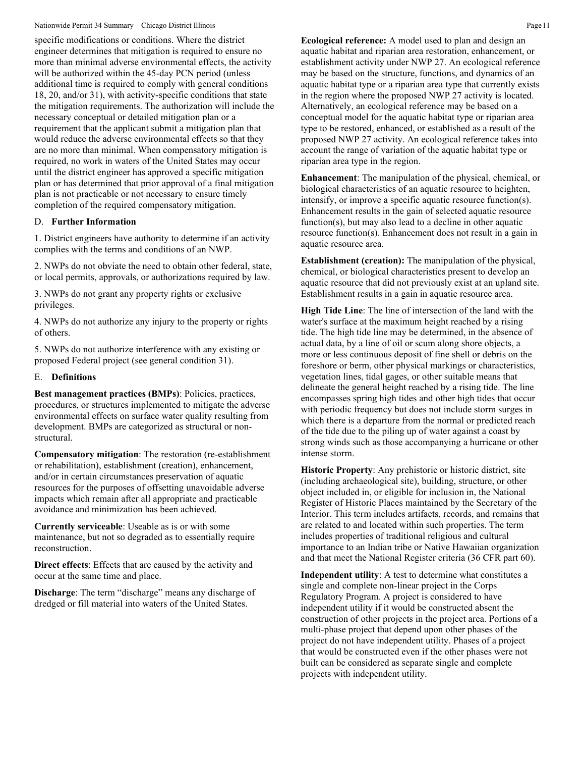#### Nationwide Permit 34 Summary – Chicago District Illinois Page 11

specific modifications or conditions. Where the district engineer determines that mitigation is required to ensure no more than minimal adverse environmental effects, the activity will be authorized within the 45-day PCN period (unless additional time is required to comply with general conditions 18, 20, and/or 31), with activity-specific conditions that state the mitigation requirements. The authorization will include the necessary conceptual or detailed mitigation plan or a requirement that the applicant submit a mitigation plan that would reduce the adverse environmental effects so that they are no more than minimal. When compensatory mitigation is required, no work in waters of the United States may occur until the district engineer has approved a specific mitigation plan or has determined that prior approval of a final mitigation plan is not practicable or not necessary to ensure timely completion of the required compensatory mitigation.

## D. **Further Information**

1. District engineers have authority to determine if an activity complies with the terms and conditions of an NWP.

2. NWPs do not obviate the need to obtain other federal, state, or local permits, approvals, or authorizations required by law.

3. NWPs do not grant any property rights or exclusive privileges.

4. NWPs do not authorize any injury to the property or rights of others.

5. NWPs do not authorize interference with any existing or proposed Federal project (see general condition 31).

#### E. **Definitions**

**Best management practices (BMPs)**: Policies, practices, procedures, or structures implemented to mitigate the adverse environmental effects on surface water quality resulting from development. BMPs are categorized as structural or nonstructural.

**Compensatory mitigation**: The restoration (re-establishment or rehabilitation), establishment (creation), enhancement, and/or in certain circumstances preservation of aquatic resources for the purposes of offsetting unavoidable adverse impacts which remain after all appropriate and practicable avoidance and minimization has been achieved.

**Currently serviceable**: Useable as is or with some maintenance, but not so degraded as to essentially require reconstruction.

**Direct effects**: Effects that are caused by the activity and occur at the same time and place.

**Discharge**: The term "discharge" means any discharge of dredged or fill material into waters of the United States.

**Ecological reference:** A model used to plan and design an aquatic habitat and riparian area restoration, enhancement, or establishment activity under NWP 27. An ecological reference may be based on the structure, functions, and dynamics of an aquatic habitat type or a riparian area type that currently exists in the region where the proposed NWP 27 activity is located. Alternatively, an ecological reference may be based on a conceptual model for the aquatic habitat type or riparian area type to be restored, enhanced, or established as a result of the proposed NWP 27 activity. An ecological reference takes into account the range of variation of the aquatic habitat type or riparian area type in the region.

**Enhancement**: The manipulation of the physical, chemical, or biological characteristics of an aquatic resource to heighten, intensify, or improve a specific aquatic resource function(s). Enhancement results in the gain of selected aquatic resource function(s), but may also lead to a decline in other aquatic resource function(s). Enhancement does not result in a gain in aquatic resource area.

**Establishment (creation):** The manipulation of the physical, chemical, or biological characteristics present to develop an aquatic resource that did not previously exist at an upland site. Establishment results in a gain in aquatic resource area.

**High Tide Line**: The line of intersection of the land with the water's surface at the maximum height reached by a rising tide. The high tide line may be determined, in the absence of actual data, by a line of oil or scum along shore objects, a more or less continuous deposit of fine shell or debris on the foreshore or berm, other physical markings or characteristics, vegetation lines, tidal gages, or other suitable means that delineate the general height reached by a rising tide. The line encompasses spring high tides and other high tides that occur with periodic frequency but does not include storm surges in which there is a departure from the normal or predicted reach of the tide due to the piling up of water against a coast by strong winds such as those accompanying a hurricane or other intense storm.

**Historic Property**: Any prehistoric or historic district, site (including archaeological site), building, structure, or other object included in, or eligible for inclusion in, the National Register of Historic Places maintained by the Secretary of the Interior. This term includes artifacts, records, and remains that are related to and located within such properties. The term includes properties of traditional religious and cultural importance to an Indian tribe or Native Hawaiian organization and that meet the National Register criteria (36 CFR part 60).

**Independent utility**: A test to determine what constitutes a single and complete non-linear project in the Corps Regulatory Program. A project is considered to have independent utility if it would be constructed absent the construction of other projects in the project area. Portions of a multi-phase project that depend upon other phases of the project do not have independent utility. Phases of a project that would be constructed even if the other phases were not built can be considered as separate single and complete projects with independent utility.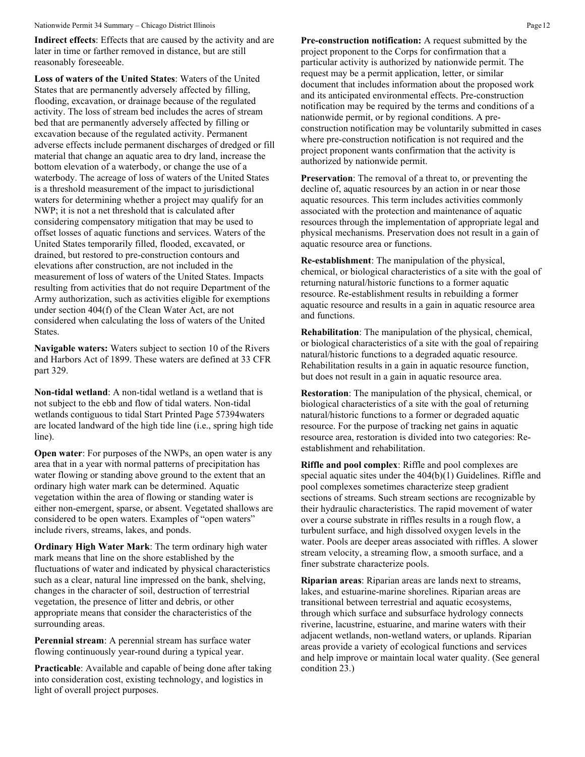#### Nationwide Permit 34 Summary – Chicago District Illinois **Page 12** Page 12

**Indirect effects**: Effects that are caused by the activity and are later in time or farther removed in distance, but are still reasonably foreseeable.

**Loss of waters of the United States**: Waters of the United States that are permanently adversely affected by filling, flooding, excavation, or drainage because of the regulated activity. The loss of stream bed includes the acres of stream bed that are permanently adversely affected by filling or excavation because of the regulated activity. Permanent adverse effects include permanent discharges of dredged or fill material that change an aquatic area to dry land, increase the bottom elevation of a waterbody, or change the use of a waterbody. The acreage of loss of waters of the United States is a threshold measurement of the impact to jurisdictional waters for determining whether a project may qualify for an NWP; it is not a net threshold that is calculated after considering compensatory mitigation that may be used to offset losses of aquatic functions and services. Waters of the United States temporarily filled, flooded, excavated, or drained, but restored to pre-construction contours and elevations after construction, are not included in the measurement of loss of waters of the United States. Impacts resulting from activities that do not require Department of the Army authorization, such as activities eligible for exemptions under section 404(f) of the Clean Water Act, are not considered when calculating the loss of waters of the United States.

**Navigable waters:** Waters subject to section 10 of the Rivers and Harbors Act of 1899. These waters are defined at 33 CFR part 329.

**Non-tidal wetland**: A non-tidal wetland is a wetland that is not subject to the ebb and flow of tidal waters. Non-tidal wetlands contiguous to tidal Start Printed Page 57394waters are located landward of the high tide line (i.e., spring high tide line).

**Open water:** For purposes of the NWPs, an open water is any area that in a year with normal patterns of precipitation has water flowing or standing above ground to the extent that an ordinary high water mark can be determined. Aquatic vegetation within the area of flowing or standing water is either non-emergent, sparse, or absent. Vegetated shallows are considered to be open waters. Examples of "open waters" include rivers, streams, lakes, and ponds.

**Ordinary High Water Mark**: The term ordinary high water mark means that line on the shore established by the fluctuations of water and indicated by physical characteristics such as a clear, natural line impressed on the bank, shelving, changes in the character of soil, destruction of terrestrial vegetation, the presence of litter and debris, or other appropriate means that consider the characteristics of the surrounding areas.

**Perennial stream**: A perennial stream has surface water flowing continuously year-round during a typical year.

**Practicable**: Available and capable of being done after taking into consideration cost, existing technology, and logistics in light of overall project purposes.

**Pre-construction notification:** A request submitted by the project proponent to the Corps for confirmation that a particular activity is authorized by nationwide permit. The request may be a permit application, letter, or similar document that includes information about the proposed work and its anticipated environmental effects. Pre-construction notification may be required by the terms and conditions of a nationwide permit, or by regional conditions. A preconstruction notification may be voluntarily submitted in cases where pre-construction notification is not required and the project proponent wants confirmation that the activity is authorized by nationwide permit.

**Preservation**: The removal of a threat to, or preventing the decline of, aquatic resources by an action in or near those aquatic resources. This term includes activities commonly associated with the protection and maintenance of aquatic resources through the implementation of appropriate legal and physical mechanisms. Preservation does not result in a gain of aquatic resource area or functions.

**Re-establishment**: The manipulation of the physical, chemical, or biological characteristics of a site with the goal of returning natural/historic functions to a former aquatic resource. Re-establishment results in rebuilding a former aquatic resource and results in a gain in aquatic resource area and functions.

**Rehabilitation**: The manipulation of the physical, chemical, or biological characteristics of a site with the goal of repairing natural/historic functions to a degraded aquatic resource. Rehabilitation results in a gain in aquatic resource function, but does not result in a gain in aquatic resource area.

**Restoration**: The manipulation of the physical, chemical, or biological characteristics of a site with the goal of returning natural/historic functions to a former or degraded aquatic resource. For the purpose of tracking net gains in aquatic resource area, restoration is divided into two categories: Reestablishment and rehabilitation.

**Riffle and pool complex**: Riffle and pool complexes are special aquatic sites under the 404(b)(1) Guidelines. Riffle and pool complexes sometimes characterize steep gradient sections of streams. Such stream sections are recognizable by their hydraulic characteristics. The rapid movement of water over a course substrate in riffles results in a rough flow, a turbulent surface, and high dissolved oxygen levels in the water. Pools are deeper areas associated with riffles. A slower stream velocity, a streaming flow, a smooth surface, and a finer substrate characterize pools.

**Riparian areas**: Riparian areas are lands next to streams, lakes, and estuarine-marine shorelines. Riparian areas are transitional between terrestrial and aquatic ecosystems, through which surface and subsurface hydrology connects riverine, lacustrine, estuarine, and marine waters with their adjacent wetlands, non-wetland waters, or uplands. Riparian areas provide a variety of ecological functions and services and help improve or maintain local water quality. (See general condition 23.)